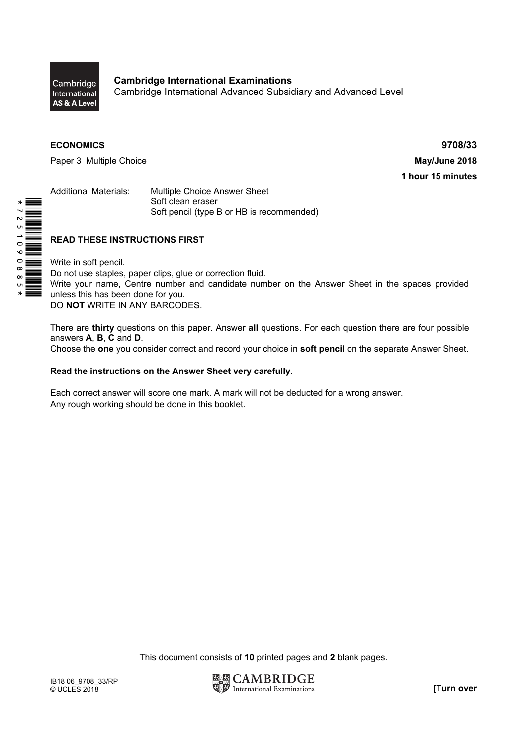

**Cambridge International Examinations**  Cambridge International Advanced Subsidiary and Advanced Level

# **ECONOMICS 9708/33**

Paper 3 Multiple Choice **May/June 2018** 

**1 hour 15 minutes** 

Additional Materials: Multiple Choice Answer Sheet Soft clean eraser Soft pencil (type B or HB is recommended)

### **READ THESE INSTRUCTIONS FIRST**

Write in soft pencil.

\*7251090885

\*

Do not use staples, paper clips, glue or correction fluid. Write your name, Centre number and candidate number on the Answer Sheet in the spaces provided unless this has been done for you. DO **NOT** WRITE IN ANY BARCODES.

There are **thirty** questions on this paper. Answer **all** questions. For each question there are four possible answers **A**, **B**, **C** and **D**.

Choose the **one** you consider correct and record your choice in **soft pencil** on the separate Answer Sheet.

#### **Read the instructions on the Answer Sheet very carefully.**

Each correct answer will score one mark. A mark will not be deducted for a wrong answer. Any rough working should be done in this booklet.

This document consists of **10** printed pages and **2** blank pages.

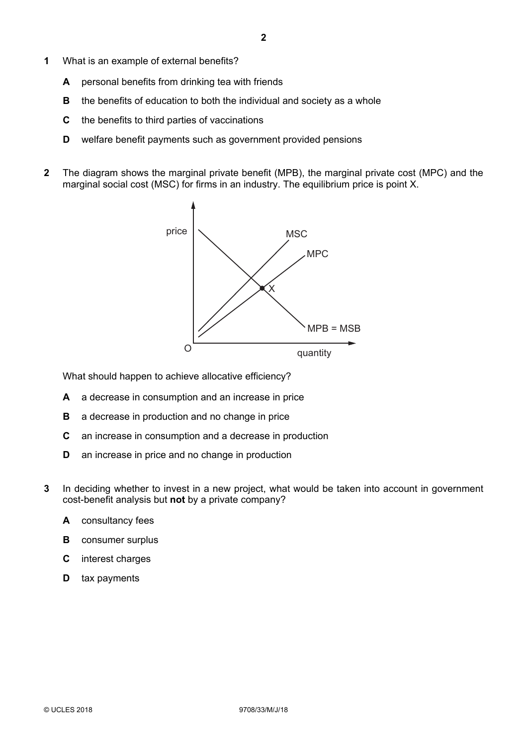- **1** What is an example of external benefits?
	- **A** personal benefits from drinking tea with friends
	- **B** the benefits of education to both the individual and society as a whole
	- **C** the benefits to third parties of vaccinations
	- **D** welfare benefit payments such as government provided pensions
- **2** The diagram shows the marginal private benefit (MPB), the marginal private cost (MPC) and the marginal social cost (MSC) for firms in an industry. The equilibrium price is point X.



What should happen to achieve allocative efficiency?

- **A** a decrease in consumption and an increase in price
- **B** a decrease in production and no change in price
- **C** an increase in consumption and a decrease in production
- **D** an increase in price and no change in production
- **3** In deciding whether to invest in a new project, what would be taken into account in government cost-benefit analysis but **not** by a private company?
	- **A** consultancy fees
	- **B** consumer surplus
	- **C** interest charges
	- **D** tax payments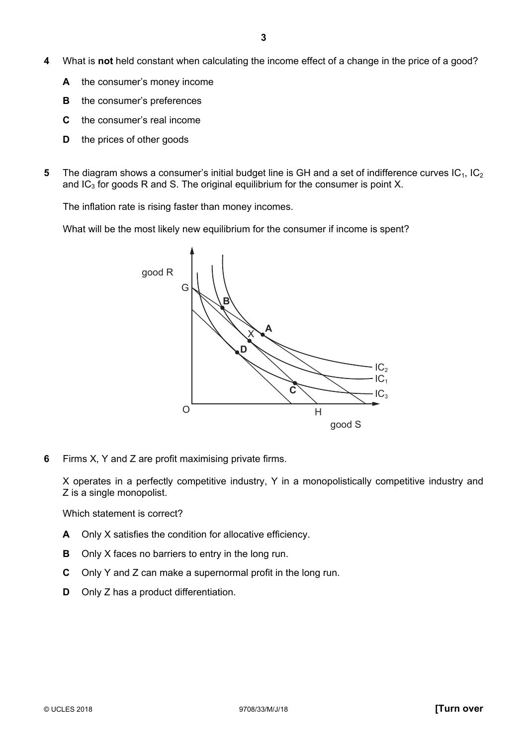- **4** What is **not** held constant when calculating the income effect of a change in the price of a good?
	- **A** the consumer's money income
	- **B** the consumer's preferences
	- **C** the consumer's real income
	- **D** the prices of other goods
- **5** The diagram shows a consumer's initial budget line is GH and a set of indifference curves  $IC_1$ ,  $IC_2$ and  $IC<sub>3</sub>$  for goods R and S. The original equilibrium for the consumer is point X.

The inflation rate is rising faster than money incomes.

What will be the most likely new equilibrium for the consumer if income is spent?



**6** Firms X, Y and Z are profit maximising private firms.

X operates in a perfectly competitive industry, Y in a monopolistically competitive industry and Z is a single monopolist.

Which statement is correct?

- **A** Only X satisfies the condition for allocative efficiency.
- **B** Only X faces no barriers to entry in the long run.
- **C** Only Y and Z can make a supernormal profit in the long run.
- **D** Only Z has a product differentiation.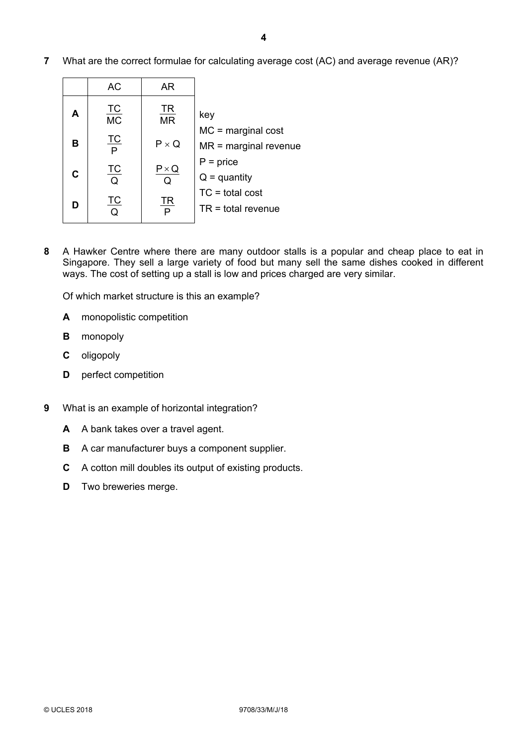|   | <b>AC</b>                 | AR                                         |                                           |
|---|---------------------------|--------------------------------------------|-------------------------------------------|
| A | $rac{TC}{MC}$             | <b>TR</b><br><b>MR</b>                     | key<br>$MC = marginal cost$               |
| B | $rac{TC}{P}$              | $P \times Q$                               | $MR = marginal$ revenue                   |
| C | $rac{TC}{Q}$              | $\underline{P \times Q}$<br>$\overline{Q}$ | $P = price$<br>$Q =$ quantity             |
| D | $\underline{\mathsf{TC}}$ | TR<br>P                                    | $TC = total cost$<br>$TR = total$ revenue |

**7** What are the correct formulae for calculating average cost (AC) and average revenue (AR)?

**8** A Hawker Centre where there are many outdoor stalls is a popular and cheap place to eat in Singapore. They sell a large variety of food but many sell the same dishes cooked in different ways. The cost of setting up a stall is low and prices charged are very similar.

Of which market structure is this an example?

- **A** monopolistic competition
- **B** monopoly
- **C** oligopoly
- **D** perfect competition
- **9** What is an example of horizontal integration?
	- **A** A bank takes over a travel agent.
	- **B** A car manufacturer buys a component supplier.
	- **C** A cotton mill doubles its output of existing products.
	- **D** Two breweries merge.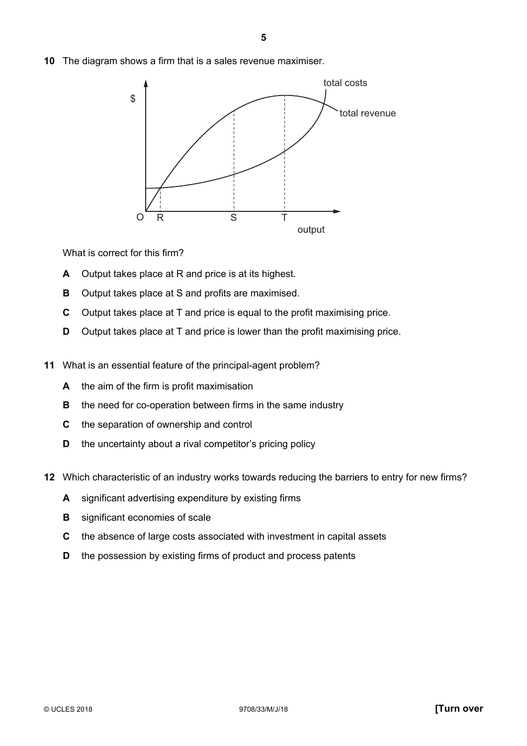**10** The diagram shows a firm that is a sales revenue maximiser.



What is correct for this firm?

- **A** Output takes place at R and price is at its highest.
- **B** Output takes place at S and profits are maximised.
- **C** Output takes place at T and price is equal to the profit maximising price.
- **D** Output takes place at T and price is lower than the profit maximising price.
- **11** What is an essential feature of the principal-agent problem?
	- **A** the aim of the firm is profit maximisation
	- **B** the need for co-operation between firms in the same industry
	- **C** the separation of ownership and control
	- **D** the uncertainty about a rival competitor's pricing policy
- **12** Which characteristic of an industry works towards reducing the barriers to entry for new firms?
	- **A** significant advertising expenditure by existing firms
	- **B** significant economies of scale
	- **C** the absence of large costs associated with investment in capital assets
	- **D** the possession by existing firms of product and process patents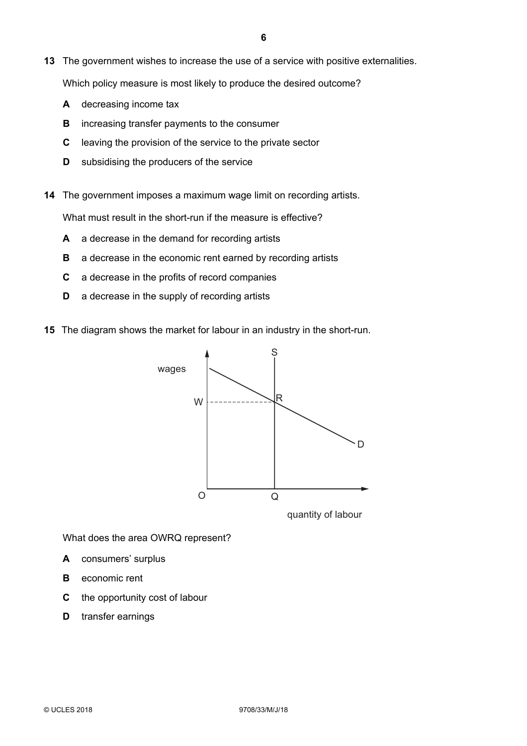**13** The government wishes to increase the use of a service with positive externalities.

Which policy measure is most likely to produce the desired outcome?

- **A** decreasing income tax
- **B** increasing transfer payments to the consumer
- **C** leaving the provision of the service to the private sector
- **D** subsidising the producers of the service
- **14** The government imposes a maximum wage limit on recording artists.

What must result in the short-run if the measure is effective?

- **A** a decrease in the demand for recording artists
- **B** a decrease in the economic rent earned by recording artists
- **C** a decrease in the profits of record companies
- **D** a decrease in the supply of recording artists
- **15** The diagram shows the market for labour in an industry in the short-run.



quantity of labour

What does the area OWRQ represent?

- **A** consumers' surplus
- **B** economic rent
- **C** the opportunity cost of labour
- **D** transfer earnings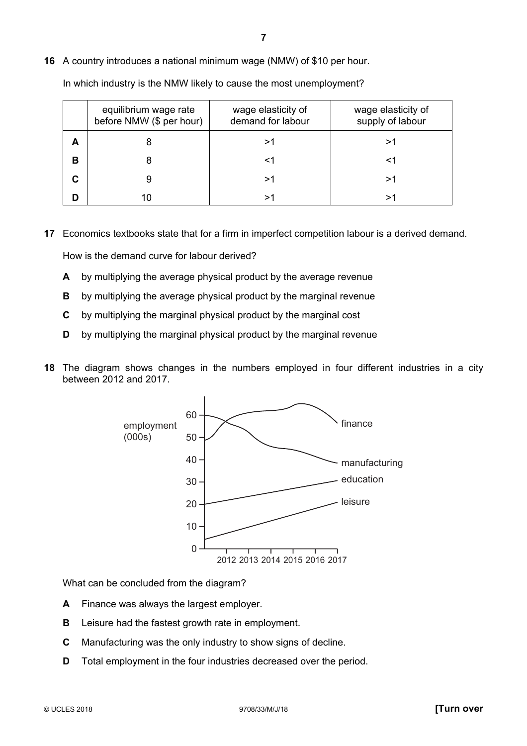**16** A country introduces a national minimum wage (NMW) of \$10 per hour.

|  |  | In which industry is the NMW likely to cause the most unemployment? |  |
|--|--|---------------------------------------------------------------------|--|
|--|--|---------------------------------------------------------------------|--|

|   | equilibrium wage rate<br>before NMW (\$ per hour) | wage elasticity of<br>demand for labour | wage elasticity of<br>supply of labour |
|---|---------------------------------------------------|-----------------------------------------|----------------------------------------|
| А | ŏ                                                 | >1                                      | >1                                     |
| в |                                                   |                                         | <′                                     |
| C | 9                                                 | >1                                      | >1                                     |
|   | 10                                                |                                         | >.                                     |

**17** Economics textbooks state that for a firm in imperfect competition labour is a derived demand.

How is the demand curve for labour derived?

- **A** by multiplying the average physical product by the average revenue
- **B** by multiplying the average physical product by the marginal revenue
- **C** by multiplying the marginal physical product by the marginal cost
- **D** by multiplying the marginal physical product by the marginal revenue
- **18** The diagram shows changes in the numbers employed in four different industries in a city between 2012 and 2017.



What can be concluded from the diagram?

- **A** Finance was always the largest employer.
- **B** Leisure had the fastest growth rate in employment.
- **C** Manufacturing was the only industry to show signs of decline.
- **D** Total employment in the four industries decreased over the period.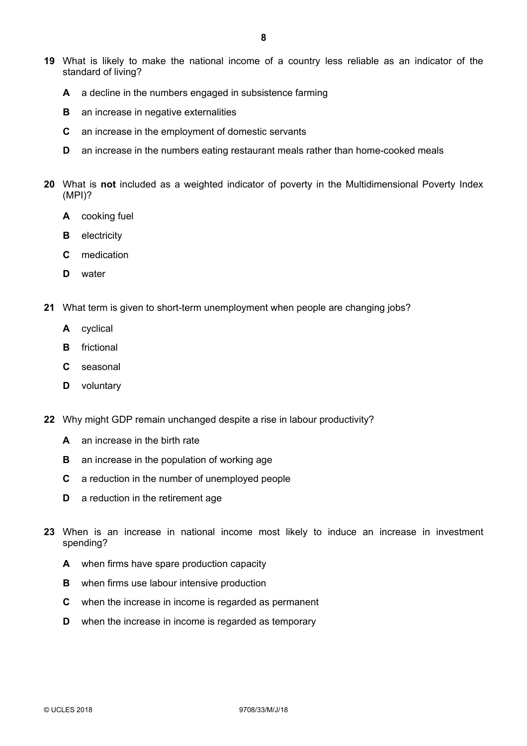- **A** a decline in the numbers engaged in subsistence farming
- **B** an increase in negative externalities
- **C** an increase in the employment of domestic servants
- **D** an increase in the numbers eating restaurant meals rather than home-cooked meals
- **20** What is **not** included as a weighted indicator of poverty in the Multidimensional Poverty Index (MPI)?
	- **A** cooking fuel
	- **B** electricity
	- **C** medication
	- **D** water
- **21** What term is given to short-term unemployment when people are changing jobs?
	- **A** cyclical
	- **B** frictional
	- **C** seasonal
	- **D** voluntary
- **22** Why might GDP remain unchanged despite a rise in labour productivity?
	- **A** an increase in the birth rate
	- **B** an increase in the population of working age
	- **C** a reduction in the number of unemployed people
	- **D** a reduction in the retirement age
- **23** When is an increase in national income most likely to induce an increase in investment spending?
	- **A** when firms have spare production capacity
	- **B** when firms use labour intensive production
	- **C** when the increase in income is regarded as permanent
	- **D** when the increase in income is regarded as temporary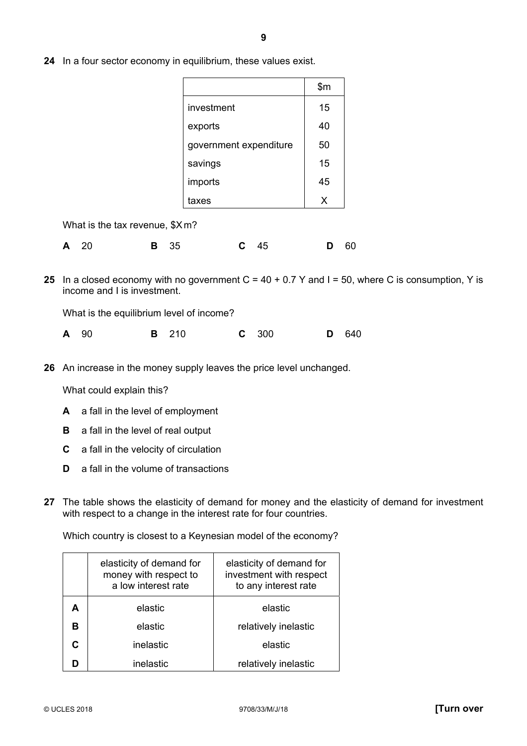|                        | \$m |
|------------------------|-----|
| investment             | 15  |
| exports                | 40  |
| government expenditure | 50  |
| savings                | 15  |
| imports                | 45  |
| taxes                  | x   |

**24** In a four sector economy in equilibrium, these values exist.

What is the tax revenue, \$Xm?

| A 20 | <b>B</b> 35 | $C$ 45 |  | D 60 |
|------|-------------|--------|--|------|
|      |             |        |  |      |

**25** In a closed economy with no government C = 40 + 0.7 Y and I = 50, where C is consumption, Y is income and I is investment.

What is the equilibrium level of income?

| A 90<br>$C$ 300<br><b>B</b> 210 | <b>D</b> 640 |
|---------------------------------|--------------|
|---------------------------------|--------------|

**26** An increase in the money supply leaves the price level unchanged.

What could explain this?

- **A** a fall in the level of employment
- **B** a fall in the level of real output
- **C** a fall in the velocity of circulation
- **D** a fall in the volume of transactions
- **27** The table shows the elasticity of demand for money and the elasticity of demand for investment with respect to a change in the interest rate for four countries.

Which country is closest to a Keynesian model of the economy?

|   | elasticity of demand for<br>money with respect to<br>a low interest rate | elasticity of demand for<br>investment with respect<br>to any interest rate |
|---|--------------------------------------------------------------------------|-----------------------------------------------------------------------------|
| А | elastic                                                                  | elastic                                                                     |
| в | elastic                                                                  | relatively inelastic                                                        |
| C | inelastic                                                                | elastic                                                                     |
|   | inelastic                                                                | relatively inelastic                                                        |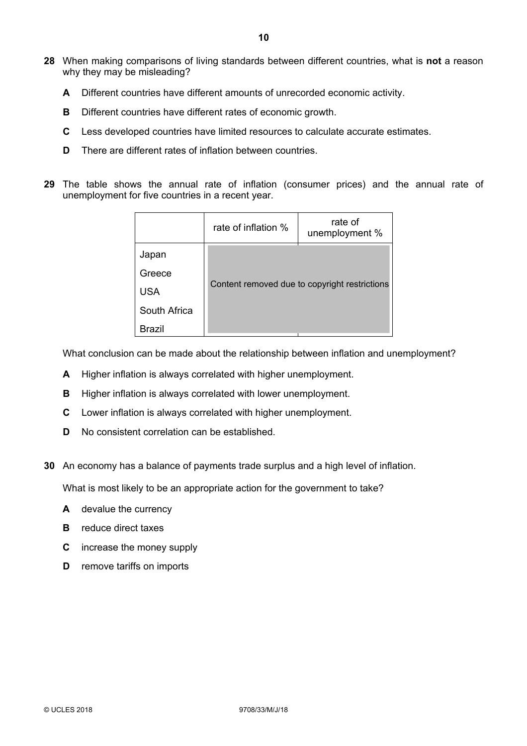- **28** When making comparisons of living standards between different countries, what is **not** a reason why they may be misleading?
	- **A** Different countries have different amounts of unrecorded economic activity.
	- **B** Different countries have different rates of economic growth.
	- **C** Less developed countries have limited resources to calculate accurate estimates.
	- **D** There are different rates of inflation between countries.
- **29** The table shows the annual rate of inflation (consumer prices) and the annual rate of unemployment for five countries in a recent year.

|              | rate of inflation %                           | rate of<br>unemployment % |
|--------------|-----------------------------------------------|---------------------------|
| Japan        |                                               |                           |
| Greece       | Content removed due to copyright restrictions |                           |
| <b>USA</b>   |                                               |                           |
| South Africa |                                               |                           |
| Brazil       |                                               |                           |

What conclusion can be made about the relationship between inflation and unemployment?

- **A** Higher inflation is always correlated with higher unemployment.
- **B** Higher inflation is always correlated with lower unemployment.
- **C** Lower inflation is always correlated with higher unemployment.
- **D** No consistent correlation can be established.
- **30** An economy has a balance of payments trade surplus and a high level of inflation.

What is most likely to be an appropriate action for the government to take?

- **A** devalue the currency
- **B** reduce direct taxes
- **C** increase the money supply
- **D** remove tariffs on imports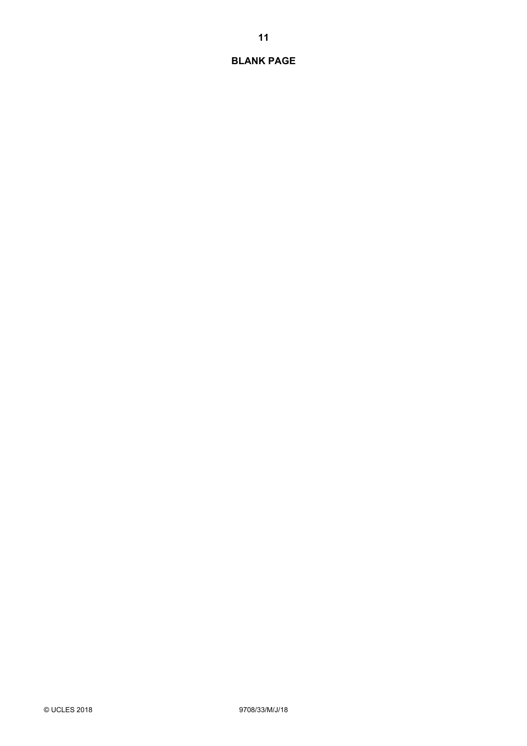## **BLANK PAGE**

**11**